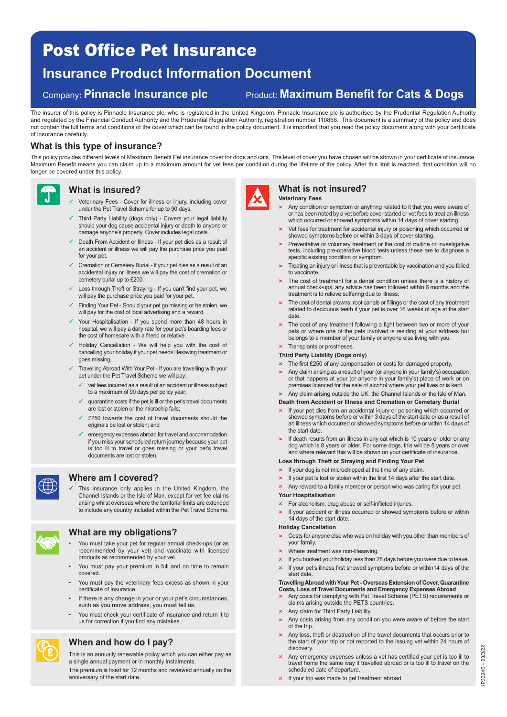# Post Office Pet Insurance

## **Insurance Product Information Document**

## Company**: Pinnacle Insurance plc** Product**: Maximum Benefit for Cats & Dogs**

The insurer of this policy is Pinnacle Insurance plc, who is registered in the United Kingdom. Pinnacle Insurance plc is authorised by the Prudential Regulation Authority and regulated by the Financial Conduct Authority and the Prudential Regulation Authority, registration number 110866. This document is a summary of the policy and does not contain the full terms and conditions of the cover which can be found in the policy document. It is important that you read the policy document along with your certificate of insurance carefully.

## **What is this type of insurance?**

This policy provides different levels of Maximum Benefit Pet insurance cover for dogs and cats. The level of cover you have chosen will be shown in your certificate of insurance. Maximum Benefit means you can claim up to a maximum amount for vet fees per condition during the lifetime of the policy. After this limit is reached, that condition will no longer be covered under this policy.



## **What is insured?**

- Veterinary Fees Cover for illness or injury, including cover under the Pet Travel Scheme for up to 90 days.
- Third Party Liability (dogs only) Covers your legal liability should your dog cause accidental injury or death to anyone or damage anyone's property. Cover includes legal costs.
- Death From Accident or Illness If your pet dies as a result of an accident or illness we will pay the purchase price you paid for your pet.
- Cremation or Cemetery Burial If your pet dies as a result of an accidental injury or illness we will pay the cost of cremation or cemetery burial up to £200.
- Loss through Theft or Straying If you can't find your pet, we will pay the purchase price you paid for your pet.
- Finding Your Pet Should your pet go missing or be stolen, we will pay for the cost of local advertising and a reward.
- $\checkmark$  Your Hospitalisation - If you spend more than 48 hours in hospital, we will pay a daily rate for your pet's boarding fees or the cost of homecare with a friend or relative.
- Holiday Cancellation We will help you with the cost of cancelling your holiday if your pet needs lifesaving treatment or goes missing.
- $\checkmark$  Travelling Abroad With Your Pet - If you are travelling with your pet under the Pet Travel Scheme we will pay:
	- $\checkmark$  vet fees incurred as a result of an accident or illness subject to a maximum of 90 days per policy year;
	- $\checkmark$  quarantine costs if the pet is ill or the pet's travel documents are lost or stolen or the microchip fails;
	- $\checkmark$  £250 towards the cost of travel documents should the originals be lost or stolen; and
	- $\checkmark$  emergency expenses abroad for travel and accommodation if you miss your scheduled return journey because your pet is too ill to travel or goes missing or your pet's travel documents are lost or stolen.



## **Where am I covered?**

 $\checkmark$  This insurance only applies in the United Kingdom, the Channel Islands or the Isle of Man, except for vet fee claims arising whilst overseas where the territorial limits are extended to include any country included within the Pet Travel Scheme.



£ £

## **What are my obligations?**

- You must take your pet for regular annual check-ups (or as recommended by your vet) and vaccinate with licensed products as recommended by your vet.
- You must pay your premium in full and on time to remain covered.
- You must pay the veterinary fees excess as shown in your certificate of insurance.
- If there is any change in your or your pet's circumstances, such as you move address, you must tell us.
- You must check your certificate of insurance and return it to us for correction if you find any mistakes.

## **When and how do I pay?**

This is an annually renewable policy which you can either pay as a single annual payment or in monthly instalments.

The premium is fixed for 12 months and reviewed annually on the anniversary of the start date.







## **Veterinary Fees**

- \* Any condition or symptom or anything related to it that you were aware of or has been noted by a vet before cover started or vet fees to treat an illness which occurred or showed symptoms within 14 days of cover starting.
- **x** Vet fees for treatment for accidental injury or poisoning which occurred or showed symptoms before or within 3 days of cover starting.
- Preventative or voluntary treatment or the cost of routine or investigative tests, including pre-operative blood tests unless these are to diagnose a specific existing condition or symptom.
- **x** Treating an injury or illness that is preventable by vaccination and you failed to vaccinate.
- **x** The cost of treatment for a dental condition unless there is a history of annual check-ups, any advice has been followed within 6 months and the treatment is to relieve suffering due to illness.
- The cost of dental crowns, root canals or fillings or the cost of any treatment related to deciduous teeth if your pet is over 16 weeks of age at the start date.
- The cost of any treatment following a fight between two or more of your pets or where one of the pets involved is residing at your address but belongs to a member of your family or anyone else living with you.

## **\*** Transplants or prostheses.

- **Third Party Liability (Dogs only)**
- **\*** The first £250 of any compensation or costs for damaged property.
- Any claim arising as a result of your (or anyone in your family's) occupation or that happens at your (or anyone in your family's) place of work or on premises licenced for the sale of alcohol where your pet lives or is kept.
- \* Any claim arising outside the UK, the Channel Islands or the Isle of Man. **Death from Accident or Illness and Cremation or Cemetary Burial**
- **x** If your pet dies from an accidental injury or poisoning which occurred or showed symptoms before or within 3 days of the start date or as a result of an illness which occurred or showed symptoms before or within 14 days of the start date.
- $\vert x \vert$  If death results from an illness in any cat which is 10 years or older or any dog which is 8 years or older. For some dogs, this will be 5 years or over and where relevant this will be shown on your certificate of insurance.

### **Loss through Theft or Straying and Finding Your Pet**

- **x** If your dog is not microchipped at the time of any claim.
- $\vert x \vert$  If your pet is lost or stolen within the first 14 days after the start date.
	- **x** Any reward to a family member or person who was caring for your pet.

#### **Your Hospitalisation**

- **x** For alcoholism, drug abuse or self-inflicted injuries.
- **x** If your accident or illness occurred or showed symptoms before or within 14 days of the start date.

### **Holiday Cancellation**

- $\star$  Costs for anyone else who was on holiday with you other than members of your family.
- **x** Where treatment was non-lifesaving
- If you booked your holiday less than 28 days before you were due to leave.
- **x** If your pet's illness first showed symptoms before or within14 days of the start date.

#### **Travelling Abroad with Your Pet - Overseas Extension of Cover, Quarantine Costs, Loss of Travel Documents and Emergency Expenses Abroad**

- Any costs for complying with Pet Travel Scheme (PETS) requirements or claims arising outside the PETS countries.
- $\star$  Any claim for Third Party Liability
- \* Any costs arising from any condition you were aware of before the start of the trip.
- \* Any loss, theft or destruction of the travel documents that occurs prior to the start of your trip or not reported to the issuing vet within 24 hours of discovery.
- Any emergency expenses unless a vet has certified your pet is too ill to travel home the same way it travelled abroad or is too ill to travel on the scheduled date of departure.
- **x** If your trip was made to get treatment abroad.